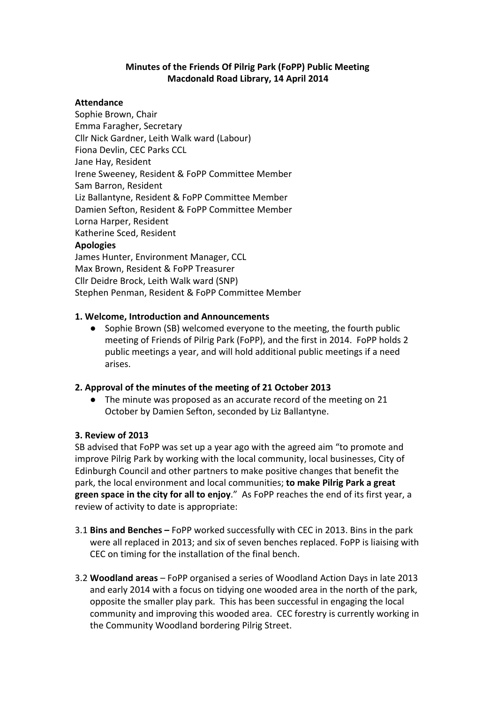### **Minutes of the Friends Of Pilrig Park (FoPP) Public Meeting Macdonald Road Library, 14 April 2014**

#### **Attendance**

Sophie Brown, Chair Emma Faragher, Secretary Cllr Nick Gardner, Leith Walk ward (Labour) Fiona Devlin, CEC Parks CCL Jane Hay, Resident Irene Sweeney, Resident & FoPP Committee Member Sam Barron, Resident Liz Ballantyne, Resident & FoPP Committee Member Damien Sefton, Resident & FoPP Committee Member Lorna Harper, Resident Katherine Sced, Resident **Apologies**

James Hunter, Environment Manager, CCL Max Brown, Resident & FoPP Treasurer Cllr Deidre Brock, Leith Walk ward (SNP) Stephen Penman, Resident & FoPP Committee Member

#### **1. Welcome, Introduction and Announcements**

Sophie Brown (SB) welcomed everyone to the meeting, the fourth public meeting of Friends of Pilrig Park (FoPP), and the first in 2014. FoPP holds 2 public meetings a year, and will hold additional public meetings if a need arises.

#### **2. Approval of the minutes of the meeting of 21 October 2013**

● The minute was proposed as an accurate record of the meeting on 21 October by Damien Sefton, seconded by Liz Ballantyne.

#### **3. Review of 2013**

SB advised that FoPP was set up a year ago with the agreed aim "to promote and improve Pilrig Park by working with the local community, local businesses, City of Edinburgh Council and other partners to make positive changes that benefit the park, the local environment and local communities; **to make Pilrig Park a great green space in the city for all to enjoy**." As FoPP reaches the end of its first year, a review of activity to date is appropriate:

- 3.1 **Bins and Benches –** FoPP worked successfully with CEC in 2013. Bins in the park were all replaced in 2013; and six of seven benches replaced. FoPP is liaising with CEC on timing for the installation of the final bench.
- 3.2 **Woodland areas** FoPP organised a series of Woodland Action Days in late 2013 and early 2014 with a focus on tidying one wooded area in the north of the park, opposite the smaller play park. This has been successful in engaging the local community and improving this wooded area. CEC forestry is currently working in the Community Woodland bordering Pilrig Street.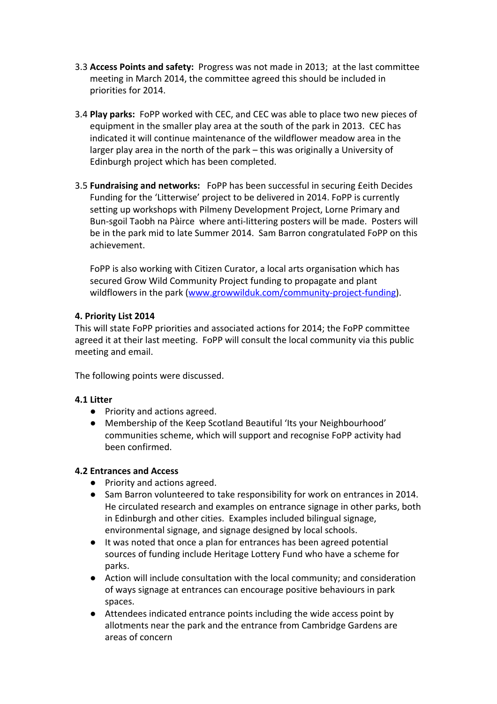- 3.3 **Access Points and safety:** Progress was not made in 2013; at the last committee meeting in March 2014, the committee agreed this should be included in priorities for 2014.
- 3.4 **Play parks:** FoPP worked with CEC, and CEC was able to place two new pieces of equipment in the smaller play area at the south of the park in 2013. CEC has indicated it will continue maintenance of the wildflower meadow area in the larger play area in the north of the park – this was originally a University of Edinburgh project which has been completed.
- 3.5 **Fundraising and networks:** FoPP has been successful in securing £eith Decides Funding for the 'Litterwise' project to be delivered in 2014. FoPP is currently setting up workshops with Pilmeny Development Project, Lorne Primary and Bun-sgoil Taobh na Pàirce where anti-littering posters will be made. Posters will be in the park mid to late Summer 2014. Sam Barron congratulated FoPP on this achievement.

FoPP is also working with Citizen Curator, a local arts organisation which has secured Grow Wild Community Project funding to propagate and plant wildflowers in the park [\(www.growwilduk.com/community-project-funding\)](https://www.growwilduk.com/community-project-funding).

### **4. Priority List 2014**

This will state FoPP priorities and associated actions for 2014; the FoPP committee agreed it at their last meeting. FoPP will consult the local community via this public meeting and email.

The following points were discussed.

#### **4.1 Litter**

- Priority and actions agreed.
- Membership of the Keep Scotland Beautiful 'Its your Neighbourhood' communities scheme, which will support and recognise FoPP activity had been confirmed.

#### **4.2 Entrances and Access**

- Priority and actions agreed.
- Sam Barron volunteered to take responsibility for work on entrances in 2014. He circulated research and examples on entrance signage in other parks, both in Edinburgh and other cities. Examples included bilingual signage, environmental signage, and signage designed by local schools.
- It was noted that once a plan for entrances has been agreed potential sources of funding include Heritage Lottery Fund who have a scheme for parks.
- Action will include consultation with the local community; and consideration of ways signage at entrances can encourage positive behaviours in park spaces.
- Attendees indicated entrance points including the wide access point by allotments near the park and the entrance from Cambridge Gardens are areas of concern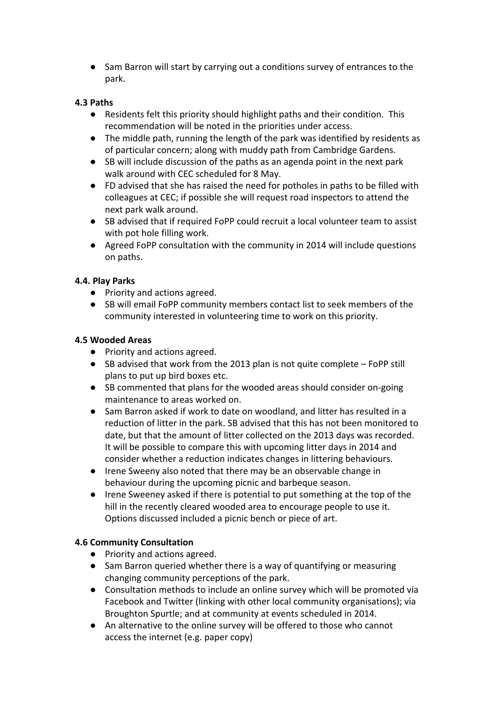● Sam Barron will start by carrying out a conditions survey of entrances to the park.

## **4.3 Paths**

- Residents felt this priority should highlight paths and their condition. This recommendation will be noted in the priorities under access.
- The middle path, running the length of the park was identified by residents as of particular concern; along with muddy path from Cambridge Gardens.
- SB will include discussion of the paths as an agenda point in the next park walk around with CEC scheduled for 8 May.
- FD advised that she has raised the need for potholes in paths to be filled with colleagues at CEC; if possible she will request road inspectors to attend the next park walk around.
- SB advised that if required FoPP could recruit a local volunteer team to assist with pot hole filling work.
- Agreed FoPP consultation with the community in 2014 will include questions on paths.

## **4.4. Play Parks**

- Priority and actions agreed.
- SB will email FoPP community members contact list to seek members of the community interested in volunteering time to work on this priority.

## **4.5 Wooded Areas**

- Priority and actions agreed.
- SB advised that work from the 2013 plan is not quite complete FoPP still plans to put up bird boxes etc.
- SB commented that plans for the wooded areas should consider on-going maintenance to areas worked on.
- Sam Barron asked if work to date on woodland, and litter has resulted in a reduction of litter in the park. SB advised that this has not been monitored to date, but that the amount of litter collected on the 2013 days was recorded. It will be possible to compare this with upcoming litter days in 2014 and consider whether a reduction indicates changes in littering behaviours.
- Irene Sweeny also noted that there may be an observable change in behaviour during the upcoming picnic and barbeque season.
- Irene Sweeney asked if there is potential to put something at the top of the hill in the recently cleared wooded area to encourage people to use it. Options discussed included a picnic bench or piece of art.

## **4.6 Community Consultation**

- Priority and actions agreed.
- Sam Barron queried whether there is a way of quantifying or measuring changing community perceptions of the park.
- Consultation methods to include an online survey which will be promoted via Facebook and Twitter (linking with other local community organisations); via Broughton Spurtle; and at community at events scheduled in 2014.
- An alternative to the online survey will be offered to those who cannot access the internet (e.g. paper copy)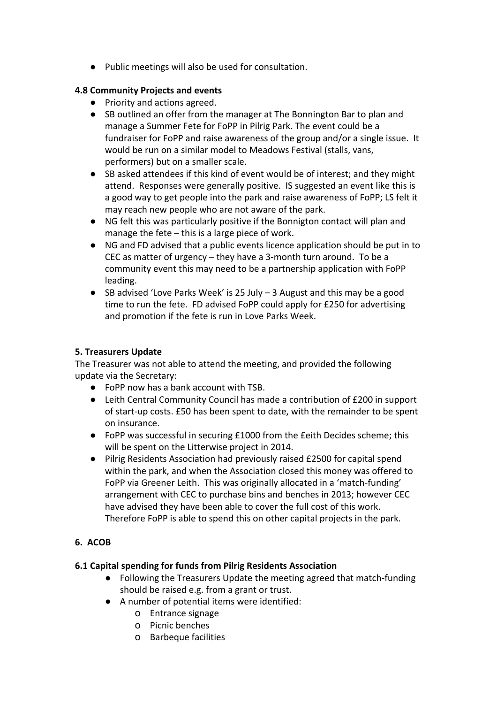● Public meetings will also be used for consultation.

## **4.8 Community Projects and events**

- Priority and actions agreed.
- SB outlined an offer from the manager at The Bonnington Bar to plan and manage a Summer Fete for FoPP in Pilrig Park. The event could be a fundraiser for FoPP and raise awareness of the group and/or a single issue. It would be run on a similar model to Meadows Festival (stalls, vans, performers) but on a smaller scale.
- SB asked attendees if this kind of event would be of interest; and they might attend. Responses were generally positive. IS suggested an event like this is a good way to get people into the park and raise awareness of FoPP; LS felt it may reach new people who are not aware of the park.
- NG felt this was particularly positive if the Bonnigton contact will plan and manage the fete – this is a large piece of work.
- NG and FD advised that a public events licence application should be put in to CEC as matter of urgency – they have a 3-month turn around. To be a community event this may need to be a partnership application with FoPP leading.
- $\bullet$  SB advised 'Love Parks Week' is 25 July 3 August and this may be a good time to run the fete. FD advised FoPP could apply for £250 for advertising and promotion if the fete is run in Love Parks Week.

## **5. Treasurers Update**

The Treasurer was not able to attend the meeting, and provided the following update via the Secretary:

- FoPP now has a bank account with TSB.
- Leith Central Community Council has made a contribution of £200 in support of start-up costs. £50 has been spent to date, with the remainder to be spent on insurance.
- FoPP was successful in securing £1000 from the £eith Decides scheme; this will be spent on the Litterwise project in 2014.
- Pilrig Residents Association had previously raised £2500 for capital spend within the park, and when the Association closed this money was offered to FoPP via Greener Leith. This was originally allocated in a 'match-funding' arrangement with CEC to purchase bins and benches in 2013; however CEC have advised they have been able to cover the full cost of this work. Therefore FoPP is able to spend this on other capital projects in the park.

## **6. ACOB**

#### **6.1 Capital spending for funds from Pilrig Residents Association**

- Following the Treasurers Update the meeting agreed that match-funding should be raised e.g. from a grant or trust.
- A number of potential items were identified:
	- o Entrance signage
	- o Picnic benches
	- o Barbeque facilities